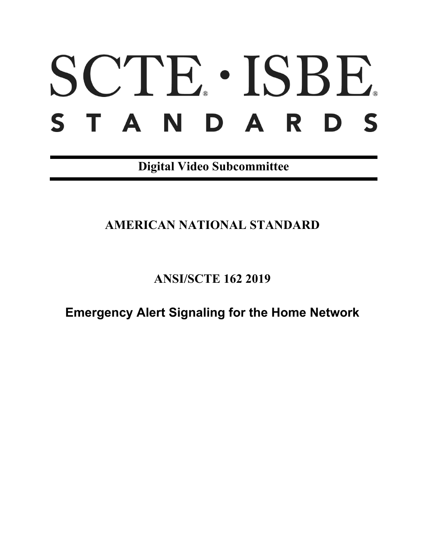# SCTE. ISBE. STANDARDS

**Digital Video Subcommittee**

## **AMERICAN NATIONAL STANDARD**

**ANSI/SCTE 162 2019**

**Emergency Alert Signaling for the Home Network**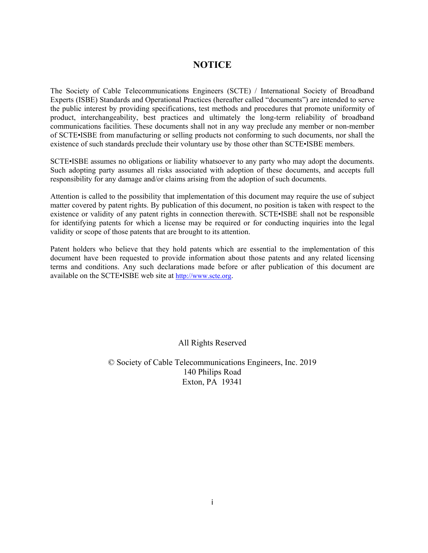## **NOTICE**

The Society of Cable Telecommunications Engineers (SCTE) / International Society of Broadband Experts (ISBE) Standards and Operational Practices (hereafter called "documents") are intended to serve the public interest by providing specifications, test methods and procedures that promote uniformity of product, interchangeability, best practices and ultimately the long-term reliability of broadband communications facilities. These documents shall not in any way preclude any member or non-member of SCTE•ISBE from manufacturing or selling products not conforming to such documents, nor shall the existence of such standards preclude their voluntary use by those other than SCTE•ISBE members.

SCTE•ISBE assumes no obligations or liability whatsoever to any party who may adopt the documents. Such adopting party assumes all risks associated with adoption of these documents, and accepts full responsibility for any damage and/or claims arising from the adoption of such documents.

Attention is called to the possibility that implementation of this document may require the use of subject matter covered by patent rights. By publication of this document, no position is taken with respect to the existence or validity of any patent rights in connection therewith. SCTE•ISBE shall not be responsible for identifying patents for which a license may be required or for conducting inquiries into the legal validity or scope of those patents that are brought to its attention.

Patent holders who believe that they hold patents which are essential to the implementation of this document have been requested to provide information about those patents and any related licensing terms and conditions. Any such declarations made before or after publication of this document are available on the SCTE•ISBE web site at [http://www.scte.org.](http://www.scte.org/)

All Rights Reserved

© Society of Cable Telecommunications Engineers, Inc. 2019 140 Philips Road Exton, PA 19341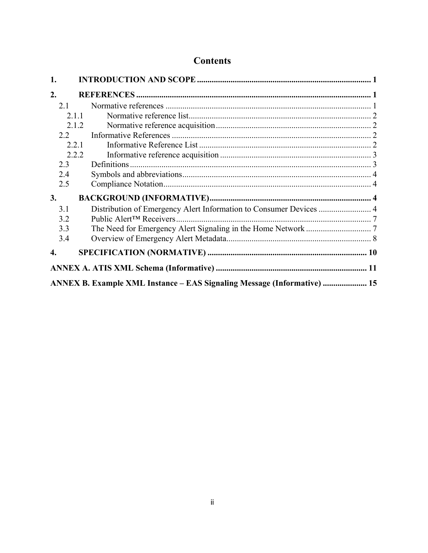## **Contents**

| 1.                                                                      |               |                                                                    |  |  |  |
|-------------------------------------------------------------------------|---------------|--------------------------------------------------------------------|--|--|--|
| 2.                                                                      |               |                                                                    |  |  |  |
|                                                                         | 2.1           |                                                                    |  |  |  |
| 2.1.1                                                                   |               |                                                                    |  |  |  |
|                                                                         |               | 2.1.2                                                              |  |  |  |
|                                                                         | $2.2^{\circ}$ |                                                                    |  |  |  |
|                                                                         | 2.2.1         |                                                                    |  |  |  |
|                                                                         | 2.2.2         |                                                                    |  |  |  |
|                                                                         | 2.3           |                                                                    |  |  |  |
|                                                                         | 2.4           |                                                                    |  |  |  |
|                                                                         | 2.5           |                                                                    |  |  |  |
| 3.                                                                      |               |                                                                    |  |  |  |
|                                                                         | 3.1           | Distribution of Emergency Alert Information to Consumer Devices  4 |  |  |  |
|                                                                         | 3.2           |                                                                    |  |  |  |
|                                                                         | 3.3           |                                                                    |  |  |  |
|                                                                         | 3.4           |                                                                    |  |  |  |
| 4.                                                                      |               |                                                                    |  |  |  |
|                                                                         |               |                                                                    |  |  |  |
| ANNEX B. Example XML Instance – EAS Signaling Message (Informative)  15 |               |                                                                    |  |  |  |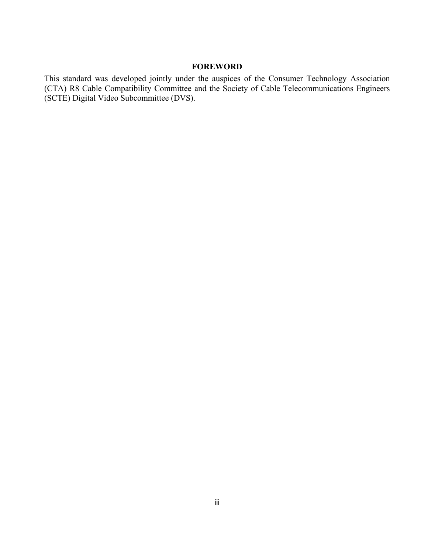#### **FOREWORD**

This standard was developed jointly under the auspices of the Consumer Technology Association (CTA) R8 Cable Compatibility Committee and the Society of Cable Telecommunications Engineers (SCTE) Digital Video Subcommittee (DVS).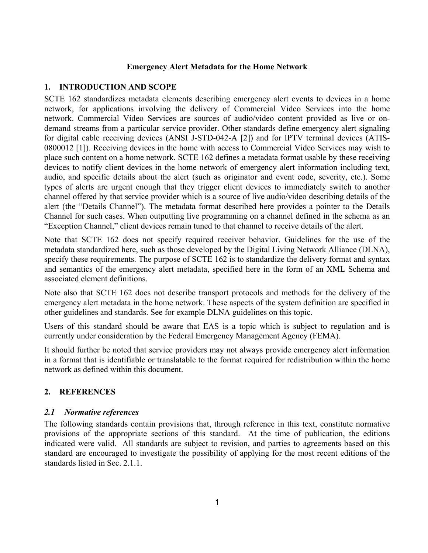#### **Emergency Alert Metadata for the Home Network**

#### <span id="page-4-0"></span>**1. INTRODUCTION AND SCOPE**

<span id="page-4-3"></span>SCTE 162 standardizes metadata elements describing emergency alert events to devices in a home network, for applications involving the delivery of Commercial Video Services into the home network. Commercial Video Services are sources of audio/video content provided as live or ondemand streams from a particular service provider. Other standards define emergency alert signaling for digital cable receiving devices (ANSI J-STD-042-A [\[2\]\)](#page-5-4) and for IPTV terminal devices (ATIS-0800012 [\[1\]\)](#page-5-5). Receiving devices in the home with access to Commercial Video Services may wish to place such content on a home network. SCTE 162 defines a metadata format usable by these receiving devices to notify client devices in the home network of emergency alert information including text, audio, and specific details about the alert (such as originator and event code, severity, etc.). Some types of alerts are urgent enough that they trigger client devices to immediately switch to another channel offered by that service provider which is a source of live audio/video describing details of the alert (the "Details Channel"). The metadata format described here provides a pointer to the Details Channel for such cases. When outputting live programming on a channel defined in the schema as an "Exception Channel," client devices remain tuned to that channel to receive details of the alert.

Note that SCTE 162 does not specify required receiver behavior. Guidelines for the use of the metadata standardized here, such as those developed by the Digital Living Network Alliance (DLNA), specify these requirements. The purpose of SCTE 162 is to standardize the delivery format and syntax and semantics of the emergency alert metadata, specified here in the form of an XML Schema and associated element definitions.

Note also that SCTE 162 does not describe transport protocols and methods for the delivery of the emergency alert metadata in the home network. These aspects of the system definition are specified in other guidelines and standards. See for example DLNA guidelines on this topic.

Users of this standard should be aware that EAS is a topic which is subject to regulation and is currently under consideration by the Federal Emergency Management Agency (FEMA).

It should further be noted that service providers may not always provide emergency alert information in a format that is identifiable or translatable to the format required for redistribution within the home network as defined within this document.

#### <span id="page-4-1"></span>**2. REFERENCES**

#### <span id="page-4-2"></span>*2.1 Normative references*

The following standards contain provisions that, through reference in this text, constitute normative provisions of the appropriate sections of this standard. At the time of publication, the editions indicated were valid. All standards are subject to revision, and parties to agreements based on this standard are encouraged to investigate the possibility of applying for the most recent editions of the standards listed in Sec. [2.1.1.](#page-5-0)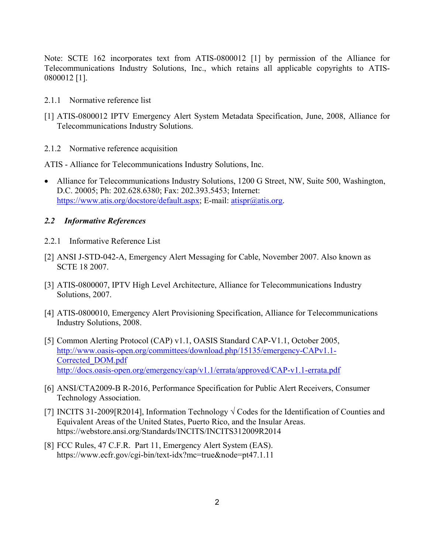Note: [SCTE 162](#page-4-3) incorporates text from ATIS-0800012 [\[1\]](#page-5-5) by permission of the Alliance for Telecommunications Industry Solutions, Inc., which retains all applicable copyrights to ATIS-0800012 [\[1\].](#page-5-5)

- <span id="page-5-0"></span>2.1.1 Normative reference list
- <span id="page-5-5"></span>[1] ATIS-0800012 IPTV Emergency Alert System Metadata Specification, June, 2008, Alliance for Telecommunications Industry Solutions.
- <span id="page-5-1"></span>2.1.2 Normative reference acquisition

ATIS - Alliance for Telecommunications Industry Solutions, Inc.

• Alliance for Telecommunications Industry Solutions, 1200 G Street, NW, Suite 500, Washington, D.C. 20005; Ph: 202.628.6380; Fax: 202.393.5453; Internet: https://www.atis.org/docstore/default.aspx; E-mail: atispr@atis.org.

#### <span id="page-5-2"></span>*2.2 Informative References*

- <span id="page-5-3"></span>2.2.1 Informative Reference List
- <span id="page-5-4"></span>[2] ANSI J-STD-042-A, Emergency Alert Messaging for Cable, November 2007. Also known as SCTE 18 2007.
- <span id="page-5-8"></span>[3] ATIS-0800007, IPTV High Level Architecture, Alliance for Telecommunications Industry Solutions, 2007.
- <span id="page-5-7"></span>[4] ATIS-0800010, Emergency Alert Provisioning Specification, Alliance for Telecommunications Industry Solutions, 2008.
- <span id="page-5-6"></span>[5] Common Alerting Protocol (CAP) v1.1, OASIS Standard CAP-V1.1, October 2005, [http://www.oasis-open.org/committees/download.php/15135/emergency-CAPv1.1-](http://www.oasis-open.org/committees/download.php/15135/emergency-CAPv1.1-Corrected_DOM.pdf) [Corrected\\_DOM.pdf](http://www.oasis-open.org/committees/download.php/15135/emergency-CAPv1.1-Corrected_DOM.pdf)  <http://docs.oasis-open.org/emergency/cap/v1.1/errata/approved/CAP-v1.1-errata.pdf>
- [6] ANSI/CTA2009-B R-2016, Performance Specification for Public Alert Receivers, Consumer Technology Association.
- <span id="page-5-10"></span>[7] INCITS 31-2009[R2014], Information Technology  $\sqrt{C}$ odes for the Identification of Counties and Equivalent Areas of the United States, Puerto Rico, and the Insular Areas. https://webstore.ansi.org/Standards/INCITS/INCITS312009R2014
- <span id="page-5-9"></span>[8] FCC Rules, 47 C.F.R. Part 11, Emergency Alert System (EAS). https://www.ecfr.gov/cgi-bin/text-idx?mc=true&node=pt47.1.11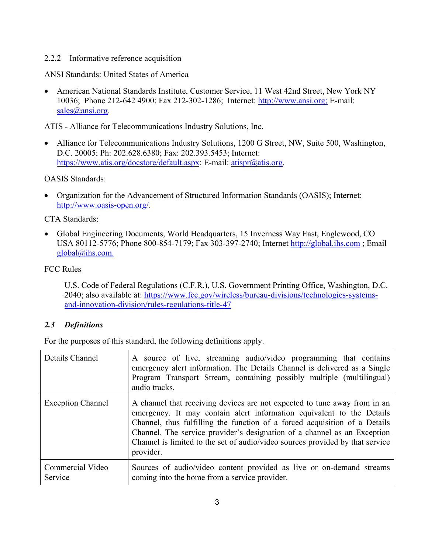#### <span id="page-6-0"></span>2.2.2 Informative reference acquisition

ANSI Standards: United States of America

• American National Standards Institute, Customer Service, 11 West 42nd Street, New York NY 10036; Phone 212-642 4900; Fax 212-302-1286; Internet: [http://www.ansi.org;](http://www.ansi.org/) E-mail: sales@ansi.org.

ATIS - Alliance for Telecommunications Industry Solutions, Inc.

• Alliance for Telecommunications Industry Solutions, 1200 G Street, NW, Suite 500, Washington, D.C. 20005; Ph: 202.628.6380; Fax: 202.393.5453; Internet: https://www.atis.org/docstore/default.aspx; E-mail: atispr@atis.org.

OASIS Standards:

• Organization for the Advancement of Structured Information Standards (OASIS); Internet: http://www.oasis-open.org/.

CTA Standards:

• Global Engineering Documents, World Headquarters, 15 Inverness Way East, Englewood, CO USA 80112-5776; Phone 800-854-7179; Fax 303-397-2740; Internet http://global.ihs.com ; Email global@ihs.com.

FCC Rules

U.S. Code of Federal Regulations (C.F.R.), U.S. Government Printing Office, Washington, D.C. 2040; also available at: [https://www.fcc.gov/wireless/bureau-divisions/technologies-systems](https://www.fcc.gov/wireless/bureau-divisions/technologies-systems-and-innovation-division/rules-regulations-title-47)[and-innovation-division/rules-regulations-title-47](https://www.fcc.gov/wireless/bureau-divisions/technologies-systems-and-innovation-division/rules-regulations-title-47)

#### <span id="page-6-1"></span>*2.3 Definitions*

For the purposes of this standard, the following definitions apply.

| Details Channel             | A source of live, streaming audio/video programming that contains<br>emergency alert information. The Details Channel is delivered as a Single<br>Program Transport Stream, containing possibly multiple (multilingual)<br>audio tracks.                                                                                                                                                                    |
|-----------------------------|-------------------------------------------------------------------------------------------------------------------------------------------------------------------------------------------------------------------------------------------------------------------------------------------------------------------------------------------------------------------------------------------------------------|
| <b>Exception Channel</b>    | A channel that receiving devices are not expected to tune away from in an<br>emergency. It may contain a lert information equivalent to the Details<br>Channel, thus fulfilling the function of a forced acquisition of a Details<br>Channel. The service provider's designation of a channel as an Exception<br>Channel is limited to the set of audio/video sources provided by that service<br>provider. |
| Commercial Video<br>Service | Sources of audio/video content provided as live or on-demand streams<br>coming into the home from a service provider.                                                                                                                                                                                                                                                                                       |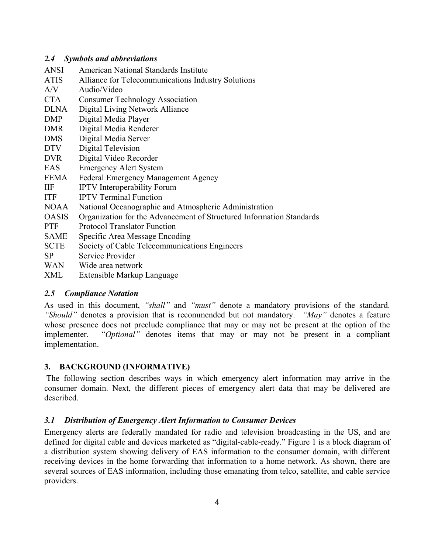#### <span id="page-7-0"></span>*2.4 Symbols and abbreviations*

- ANSI American National Standards Institute
- ATIS Alliance for Telecommunications Industry Solutions
- A/V Audio/Video
- CTA Consumer Technology Association
- DLNA Digital Living Network Alliance
- DMP Digital Media Player
- DMR Digital Media Renderer
- DMS Digital Media Server
- DTV Digital Television
- DVR Digital Video Recorder
- EAS Emergency Alert System
- FEMA Federal Emergency Management Agency
- IIF IPTV Interoperability Forum
- ITF IPTV Terminal Function
- NOAA National Oceanographic and Atmospheric Administration
- OASIS Organization for the Advancement of Structured Information Standards
- PTF Protocol Translator Function
- SAME Specific Area Message Encoding
- SCTE Society of Cable Telecommunications Engineers
- SP Service Provider
- WAN Wide area network
- <span id="page-7-1"></span>XML Extensible Markup Language

## *2.5 Compliance Notation*

As used in this document, *"shall"* and *"must"* denote a mandatory provisions of the standard. *"Should"* denotes a provision that is recommended but not mandatory. *"May"* denotes a feature whose presence does not preclude compliance that may or may not be present at the option of the implementer. *"Optional"* denotes items that may or may not be present in a compliant implementation.

## <span id="page-7-2"></span>**3. BACKGROUND (INFORMATIVE)**

The following section describes ways in which emergency alert information may arrive in the consumer domain. Next, the different pieces of emergency alert data that may be delivered are described.

## <span id="page-7-3"></span>*3.1 Distribution of Emergency Alert Information to Consumer Devices*

Emergency alerts are federally mandated for radio and television broadcasting in the US, and are defined for digital cable and devices marketed as "digital-cable-ready." [Figure 1](#page-8-0) is a block diagram of a distribution system showing delivery of EAS information to the consumer domain, with different receiving devices in the home forwarding that information to a home network. As shown, there are several sources of EAS information, including those emanating from telco, satellite, and cable service providers.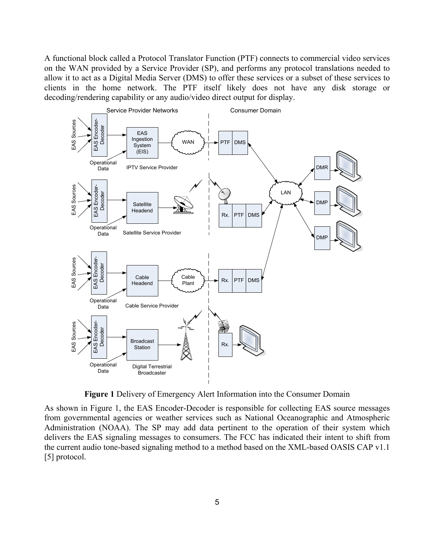A functional block called a Protocol Translator Function (PTF) connects to commercial video services on the WAN provided by a Service Provider (SP), and performs any protocol translations needed to allow it to act as a Digital Media Server (DMS) to offer these services or a subset of these services to clients in the home network. The PTF itself likely does not have any disk storage or decoding/rendering capability or any audio/video direct output for display.



**Figure 1** Delivery of Emergency Alert Information into the Consumer Domain

<span id="page-8-0"></span>As shown in [Figure 1,](#page-8-0) the EAS Encoder-Decoder is responsible for collecting EAS source messages from governmental agencies or weather services such as National Oceanographic and Atmospheric Administration (NOAA). The SP may add data pertinent to the operation of their system which delivers the EAS signaling messages to consumers. The FCC has indicated their intent to shift from the current audio tone-based signaling method to a method based on the XML-based OASIS CAP v1.1 [\[5\]](#page-5-6) protocol.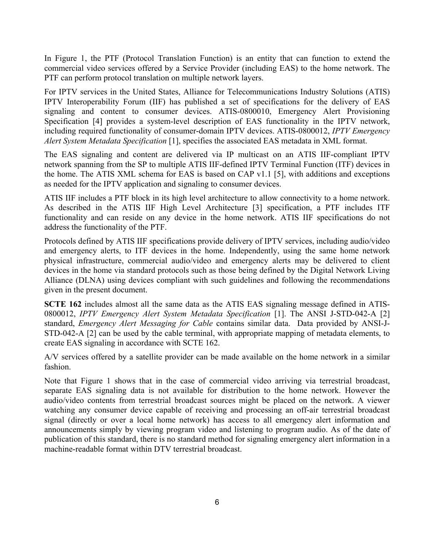In [Figure 1,](#page-8-0) the PTF (Protocol Translation Function) is an entity that can function to extend the commercial video services offered by a Service Provider (including EAS) to the home network. The PTF can perform protocol translation on multiple network layers.

For IPTV services in the United States, Alliance for Telecommunications Industry Solutions (ATIS) IPTV Interoperability Forum (IIF) has published a set of specifications for the delivery of EAS signaling and content to consumer devices. ATIS-0800010, Emergency Alert Provisioning Specification [\[4\]](#page-5-7) provides a system-level description of EAS functionality in the IPTV network, including required functionality of consumer-domain IPTV devices. ATIS-0800012, *IPTV Emergency Alert System Metadata Specification* [\[1\],](#page-5-5) specifies the associated EAS metadata in XML format.

The EAS signaling and content are delivered via IP multicast on an ATIS IIF-compliant IPTV network spanning from the SP to multiple ATIS IIF-defined IPTV Terminal Function (ITF) devices in the home. The ATIS XML schema for EAS is based on CAP v1.1 [\[5\],](#page-5-6) with additions and exceptions as needed for the IPTV application and signaling to consumer devices.

ATIS IIF includes a PTF block in its high level architecture to allow connectivity to a home network. As described in the ATIS IIF High Level Architecture [\[3\]](#page-5-8) specification, a PTF includes ITF functionality and can reside on any device in the home network. ATIS IIF specifications do not address the functionality of the PTF.

Protocols defined by ATIS IIF specifications provide delivery of IPTV services, including audio/video and emergency alerts, to ITF devices in the home. Independently, using the same home network physical infrastructure, commercial audio/video and emergency alerts may be delivered to client devices in the home via standard protocols such as those being defined by the Digital Network Living Alliance (DLNA) using devices compliant with such guidelines and following the recommendations given in the present document.

**SCTE 162** includes almost all the same data as the ATIS EAS signaling message defined in ATIS-0800012, *IPTV Emergency Alert System Metadata Specification* [\[1\].](#page-5-5) The ANSI J-STD-042-A [\[2\]](#page-5-4) standard, *Emergency Alert Messaging for Cable* contains similar data. Data provided by ANSI-J-STD-042-A [\[2\]](#page-5-4) can be used by the cable terminal, with appropriate mapping of metadata elements, to create EAS signaling in accordance with SCTE 162.

A/V services offered by a satellite provider can be made available on the home network in a similar fashion.

Note that [Figure 1](#page-8-0) shows that in the case of commercial video arriving via terrestrial broadcast, separate EAS signaling data is not available for distribution to the home network. However the audio/video contents from terrestrial broadcast sources might be placed on the network. A viewer watching any consumer device capable of receiving and processing an off-air terrestrial broadcast signal (directly or over a local home network) has access to all emergency alert information and announcements simply by viewing program video and listening to program audio. As of the date of publication of this standard, there is no standard method for signaling emergency alert information in a machine-readable format within DTV terrestrial broadcast.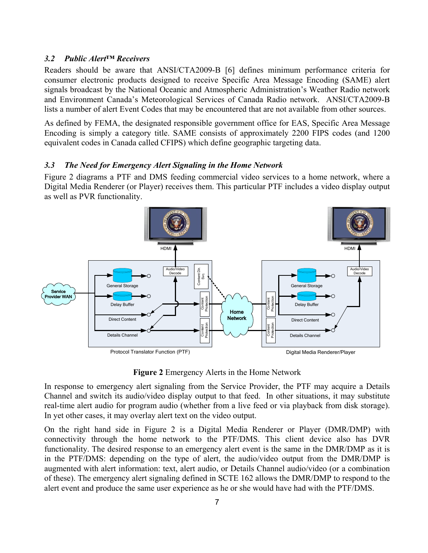#### <span id="page-10-0"></span>*3.2 Public Alert™ Receivers*

Readers should be aware that ANSI/CTA2009-B [6] defines minimum performance criteria for consumer electronic products designed to receive Specific Area Message Encoding (SAME) alert signals broadcast by the National Oceanic and Atmospheric Administration's Weather Radio network and Environment Canada's Meteorological Services of Canada Radio network. ANSI/CTA2009-B lists a number of alert Event Codes that may be encountered that are not available from other sources.

As defined by FEMA, the designated responsible government office for EAS, Specific Area Message Encoding is simply a category title. SAME consists of approximately 2200 FIPS codes (and 1200 equivalent codes in Canada called CFIPS) which define geographic targeting data.

#### <span id="page-10-1"></span>*3.3 The Need for Emergency Alert Signaling in the Home Network*

[Figure 2](#page-10-2) diagrams a PTF and DMS feeding commercial video services to a home network, where a Digital Media Renderer (or Player) receives them. This particular PTF includes a video display output as well as PVR functionality.



**Figure 2** Emergency Alerts in the Home Network

<span id="page-10-2"></span>In response to emergency alert signaling from the Service Provider, the PTF may acquire a Details Channel and switch its audio/video display output to that feed. In other situations, it may substitute real-time alert audio for program audio (whether from a live feed or via playback from disk storage). In yet other cases, it may overlay alert text on the video output.

On the right hand side in [Figure 2](#page-10-2) is a Digital Media Renderer or Player (DMR/DMP) with connectivity through the home network to the PTF/DMS. This client device also has DVR functionality. The desired response to an emergency alert event is the same in the DMR/DMP as it is in the PTF/DMS: depending on the type of alert, the audio/video output from the DMR/DMP is augmented with alert information: text, alert audio, or Details Channel audio/video (or a combination of these). The emergency alert signaling defined in SCTE 162 allows the DMR/DMP to respond to the alert event and produce the same user experience as he or she would have had with the PTF/DMS.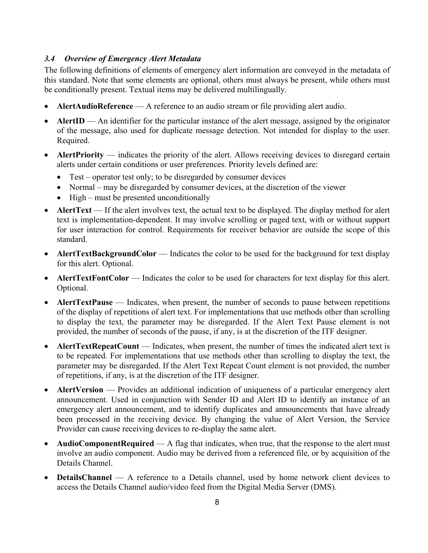#### <span id="page-11-0"></span>*3.4 Overview of Emergency Alert Metadata*

The following definitions of elements of emergency alert information are conveyed in the metadata of this standard. Note that some elements are optional, others must always be present, while others must be conditionally present. Textual items may be delivered multilingually.

- **AlertAudioReference** A reference to an audio stream or file providing alert audio.
- **AlertID** An identifier for the particular instance of the alert message, assigned by the originator of the message, also used for duplicate message detection. Not intended for display to the user. Required.
- **AlertPriority** indicates the priority of the alert. Allows receiving devices to disregard certain alerts under certain conditions or user preferences. Priority levels defined are:
	- Test operator test only; to be disregarded by consumer devices
	- Normal may be disregarded by consumer devices, at the discretion of the viewer
	- High must be presented unconditionally
- **AlertText** If the alert involves text, the actual text to be displayed. The display method for alert text is implementation-dependent. It may involve scrolling or paged text, with or without support for user interaction for control. Requirements for receiver behavior are outside the scope of this standard.
- **AlertTextBackgroundColor** Indicates the color to be used for the background for text display for this alert. Optional.
- **AlertTextFontColor** Indicates the color to be used for characters for text display for this alert. Optional.
- **AlertTextPause** Indicates, when present, the number of seconds to pause between repetitions of the display of repetitions of alert text. For implementations that use methods other than scrolling to display the text, the parameter may be disregarded. If the Alert Text Pause element is not provided, the number of seconds of the pause, if any, is at the discretion of the ITF designer.
- **AlertTextRepeatCount** Indicates, when present, the number of times the indicated alert text is to be repeated. For implementations that use methods other than scrolling to display the text, the parameter may be disregarded. If the Alert Text Repeat Count element is not provided, the number of repetitions, if any, is at the discretion of the ITF designer.
- **AlertVersion** Provides an additional indication of uniqueness of a particular emergency alert announcement. Used in conjunction with Sender ID and Alert ID to identify an instance of an emergency alert announcement, and to identify duplicates and announcements that have already been processed in the receiving device. By changing the value of Alert Version, the Service Provider can cause receiving devices to re-display the same alert.
- **AudioComponentRequired** A flag that indicates, when true, that the response to the alert must involve an audio component. Audio may be derived from a referenced file, or by acquisition of the Details Channel.
- **DetailsChannel** A reference to a Details channel, used by home network client devices to access the Details Channel audio/video feed from the Digital Media Server (DMS).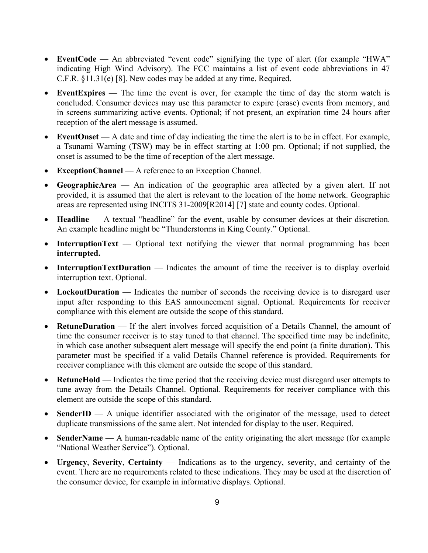- **EventCode** An abbreviated "event code" signifying the type of alert (for example "HWA" indicating High Wind Advisory). The FCC maintains a list of event code abbreviations in 47 C.F.R. §11.31(e) [\[8\].](#page-5-9) New codes may be added at any time. Required.
- **EventExpires** The time the event is over, for example the time of day the storm watch is concluded. Consumer devices may use this parameter to expire (erase) events from memory, and in screens summarizing active events. Optional; if not present, an expiration time 24 hours after reception of the alert message is assumed.
- **EventOnset** A date and time of day indicating the time the alert is to be in effect. For example, a Tsunami Warning (TSW) may be in effect starting at 1:00 pm. Optional; if not supplied, the onset is assumed to be the time of reception of the alert message.
- **ExceptionChannel** A reference to an Exception Channel.
- **GeographicArea** An indication of the geographic area affected by a given alert. If not provided, it is assumed that the alert is relevant to the location of the home network. Geographic areas are represented using INCITS 31-2009[R2014] [\[7\]](#page-5-10) state and county codes. Optional.
- **Headline** A textual "headline" for the event, usable by consumer devices at their discretion. An example headline might be "Thunderstorms in King County." Optional.
- **InterruptionText** Optional text notifying the viewer that normal programming has been **interrupted.**
- **InterruptionTextDuration** Indicates the amount of time the receiver is to display overlaid interruption text. Optional.
- LockoutDuration Indicates the number of seconds the receiving device is to disregard user input after responding to this EAS announcement signal. Optional. Requirements for receiver compliance with this element are outside the scope of this standard.
- **RetuneDuration** If the alert involves forced acquisition of a Details Channel, the amount of time the consumer receiver is to stay tuned to that channel. The specified time may be indefinite, in which case another subsequent alert message will specify the end point (a finite duration). This parameter must be specified if a valid Details Channel reference is provided. Requirements for receiver compliance with this element are outside the scope of this standard.
- **RetuneHold** Indicates the time period that the receiving device must disregard user attempts to tune away from the Details Channel. Optional. Requirements for receiver compliance with this element are outside the scope of this standard.
- **SenderID** A unique identifier associated with the originator of the message, used to detect duplicate transmissions of the same alert. Not intended for display to the user. Required.
- **SenderName** A human-readable name of the entity originating the alert message (for example "National Weather Service"). Optional.
- **Urgency**, **Severity**, **Certainty** Indications as to the urgency, severity, and certainty of the event. There are no requirements related to these indications. They may be used at the discretion of the consumer device, for example in informative displays. Optional.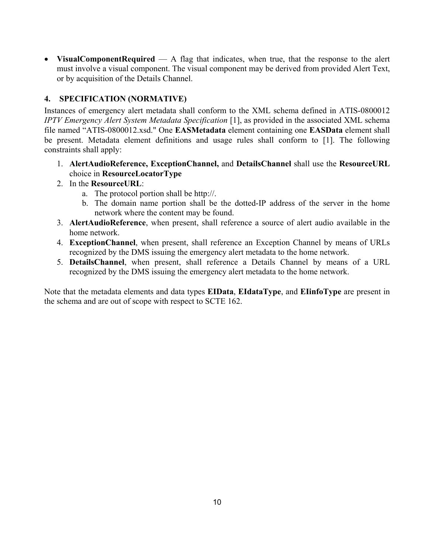• **VisualComponentRequired** — A flag that indicates, when true, that the response to the alert must involve a visual component. The visual component may be derived from provided Alert Text, or by acquisition of the Details Channel.

## <span id="page-13-0"></span>**4. SPECIFICATION (NORMATIVE)**

Instances of emergency alert metadata shall conform to the XML schema defined in ATIS-0800012 *IPTV Emergency Alert System Metadata Specification* [\[1\],](#page-5-5) as provided in the associated XML schema file named "ATIS-0800012.xsd." One **EASMetadata** element containing one **EASData** element shall be present. Metadata element definitions and usage rules shall conform to [\[1\].](#page-5-5) The following constraints shall apply:

- 1. **AlertAudioReference, ExceptionChannel,** and **DetailsChannel** shall use the **ResourceURL** choice in **ResourceLocatorType**
- 2. In the **ResourceURL**:
	- a. The protocol portion shall be http://.
	- b. The domain name portion shall be the dotted-IP address of the server in the home network where the content may be found.
- 3. **AlertAudioReference**, when present, shall reference a source of alert audio available in the home network.
- 4. **ExceptionChannel**, when present, shall reference an Exception Channel by means of URLs recognized by the DMS issuing the emergency alert metadata to the home network.
- 5. **DetailsChannel**, when present, shall reference a Details Channel by means of a URL recognized by the DMS issuing the emergency alert metadata to the home network.

Note that the metadata elements and data types **EIData**, **EIdataType**, and **EIinfoType** are present in the schema and are out of scope with respect to SCTE 162.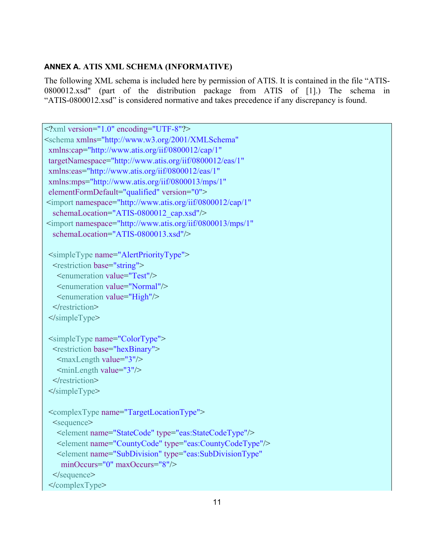## <span id="page-14-0"></span>**ANNEX A. ATIS XML SCHEMA (INFORMATIVE)**

The following XML schema is included here by permission of ATIS. It is contained in the file "ATIS-0800012.xsd" (part of the distribution package from ATIS of [\[1\].](#page-5-5)) The schema in "ATIS-0800012.xsd" is considered normative and takes precedence if any discrepancy is found.

| $\leq$ ?xml version="1.0" encoding="UTF-8"?>                                   |
|--------------------------------------------------------------------------------|
| <schema <="" th="" xmlns="http://www.w3.org/2001/XMLSchema"></schema>          |
| xmlns:cap="http://www.atis.org/iif/0800012/cap/1"                              |
| targetNamespace="http://www.atis.org/iif/0800012/eas/1"                        |
| xmlns:eas="http://www.atis.org/iif/0800012/eas/1"                              |
| xmlns:mps="http://www.atis.org/iif/0800013/mps/1"                              |
| elementFormDefault="qualified" version="0">                                    |
| <import <="" namespace="http://www.atis.org/iif/0800012/cap/1" th=""></import> |
| schemaLocation="ATIS-0800012 cap.xsd"/>                                        |
| <import <="" namespace="http://www.atis.org/iif/0800013/mps/1" th=""></import> |
| schemaLocation="ATIS-0800013.xsd"/>                                            |
|                                                                                |
| <simpletype name="AlertPriorityType"></simpletype>                             |
| <restriction base="string"></restriction>                                      |
| <enumeration value="Test"></enumeration>                                       |
| <enumeration value="Normal"></enumeration>                                     |
| <enumeration value="High"></enumeration>                                       |
| $\le$ /restriction>                                                            |
| $\le$ /simpleType>                                                             |
|                                                                                |
| <simpletype name="ColorType"></simpletype>                                     |
| <restriction base="hexBinary"></restriction>                                   |
| <maxlength value="3"></maxlength>                                              |
| <minlength value="3"></minlength>                                              |
| $\le$ /restriction>                                                            |
|                                                                                |
| <complextype name="TargetLocationType"></complextype>                          |
| <sequence></sequence>                                                          |
| <element name="StateCode" type="eas:StateCodeType"></element>                  |
| <element name="CountyCode" type="eas:CountyCodeType"></element>                |
| <element <="" name="SubDivision" th="" type="eas:SubDivisionType"></element>   |
| minOccurs="0" maxOccurs="8"/>                                                  |
| $\le$ /sequence>                                                               |
|                                                                                |
|                                                                                |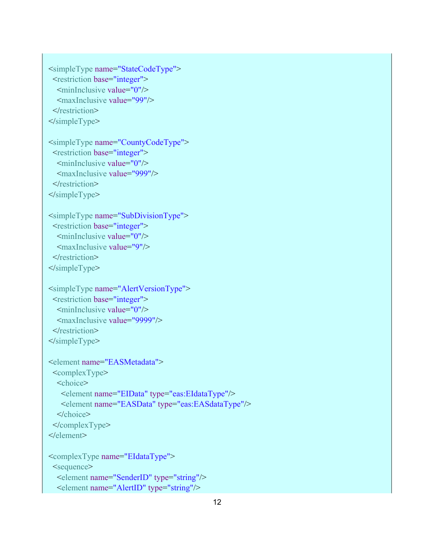```
 <simpleType name="StateCodeType">
  <restriction base="integer">
  \leqminInclusive value="0"/>
   <maxInclusive value="99"/>
 \le/restriction>
 </simpleType>
```

```
 <simpleType name="CountyCodeType">
  <restriction base="integer">
  \leqminInclusive value="0"/>
   <maxInclusive value="999"/>
 </restriction>
 </simpleType>
```

```
 <simpleType name="SubDivisionType">
  <restriction base="integer">
  \leqminInclusive value="0"/>
   <maxInclusive value="9"/>
 </restriction>
 </simpleType>
```

```
 <simpleType name="AlertVersionType">
 <restriction base="integer">
  \leqminInclusive value="0"/>
   <maxInclusive value="9999"/>
 </restriction>
 </simpleType>
```

```
 <element name="EASMetadata">
 <complexType>
   <choice>
    <element name="EIData" type="eas:EIdataType"/>
    <element name="EASData" type="eas:EASdataType"/>
   </choice>
 </complexType>
 </element>
```

```
 <complexType name="EIdataType">
 <sequence>
   <element name="SenderID" type="string"/>
   <element name="AlertID" type="string"/>
```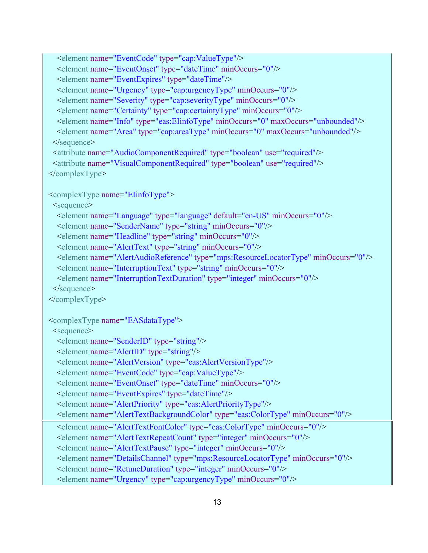<element name="EventCode" type="cap:ValueType"/> <element name="EventOnset" type="dateTime" minOccurs="0"/> <element name="EventExpires" type="dateTime"/> <element name="Urgency" type="cap:urgencyType" minOccurs="0"/> <element name="Severity" type="cap:severityType" minOccurs="0"/> <element name="Certainty" type="cap:certaintyType" minOccurs="0"/> <element name="Info" type="eas:EIinfoType" minOccurs="0" maxOccurs="unbounded"/> <element name="Area" type="cap:areaType" minOccurs="0" maxOccurs="unbounded"/> </sequence> <attribute name="AudioComponentRequired" type="boolean" use="required"/> <attribute name="VisualComponentRequired" type="boolean" use="required"/> </complexType> <complexType name="EIinfoType"> <sequence> <element name="Language" type="language" default="en-US" minOccurs="0"/> <element name="SenderName" type="string" minOccurs="0"/> <element name="Headline" type="string" minOccurs="0"/> <element name="AlertText" type="string" minOccurs="0"/> <element name="AlertAudioReference" type="mps:ResourceLocatorType" minOccurs="0"/> <element name="InterruptionText" type="string" minOccurs="0"/> <element name="InterruptionTextDuration" type="integer" minOccurs="0"/> </sequence> </complexType> <complexType name="EASdataType"> <sequence> <element name="SenderID" type="string"/> <element name="AlertID" type="string"/> <element name="AlertVersion" type="eas:AlertVersionType"/> <element name="EventCode" type="cap:ValueType"/> <element name="EventOnset" type="dateTime" minOccurs="0"/> <element name="EventExpires" type="dateTime"/> <element name="AlertPriority" type="eas:AlertPriorityType"/> <element name="AlertTextBackgroundColor" type="eas:ColorType" minOccurs="0"/> <element name="AlertTextFontColor" type="eas:ColorType" minOccurs="0"/> <element name="AlertTextRepeatCount" type="integer" minOccurs="0"/> <element name="AlertTextPause" type="integer" minOccurs="0"/> <element name="DetailsChannel" type="mps:ResourceLocatorType" minOccurs="0"/> <element name="RetuneDuration" type="integer" minOccurs="0"/> <element name="Urgency" type="cap:urgencyType" minOccurs="0"/>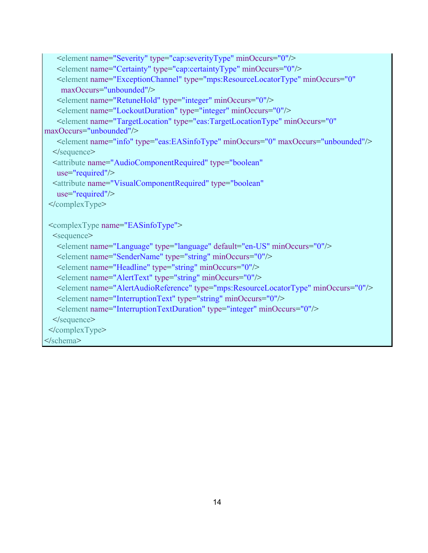```
 <element name="Severity" type="cap:severityType" minOccurs="0"/>
    <element name="Certainty" type="cap:certaintyType" minOccurs="0"/>
    <element name="ExceptionChannel" type="mps:ResourceLocatorType" minOccurs="0"
     maxOccurs="unbounded"/>
    <element name="RetuneHold" type="integer" minOccurs="0"/>
    <element name="LockoutDuration" type="integer" minOccurs="0"/>
    <element name="TargetLocation" type="eas:TargetLocationType" minOccurs="0" 
maxOccurs="unbounded"/>
    <element name="info" type="eas:EASinfoType" minOccurs="0" maxOccurs="unbounded"/>
   </sequence>
   <attribute name="AudioComponentRequired" type="boolean"
    use="required"/>
   <attribute name="VisualComponentRequired" type="boolean"
    use="required"/>
  </complexType>
  <complexType name="EASinfoType">
   <sequence>
    <element name="Language" type="language" default="en-US" minOccurs="0"/>
    <element name="SenderName" type="string" minOccurs="0"/>
    <element name="Headline" type="string" minOccurs="0"/>
    <element name="AlertText" type="string" minOccurs="0"/>
    <element name="AlertAudioReference" type="mps:ResourceLocatorType" minOccurs="0"/>
    <element name="InterruptionText" type="string" minOccurs="0"/>
    <element name="InterruptionTextDuration" type="integer" minOccurs="0"/>
   </sequence>
  </complexType>
</schema>
```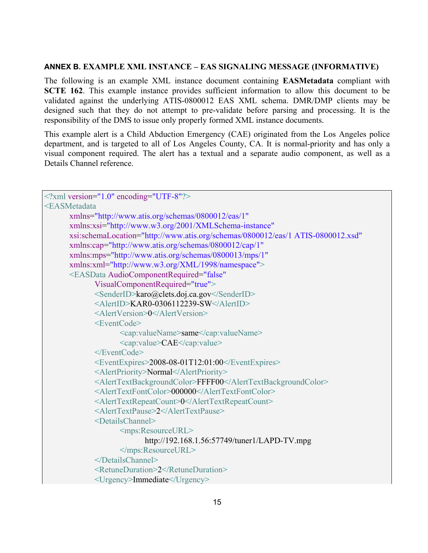#### <span id="page-18-0"></span>**ANNEX B. EXAMPLE XML INSTANCE – EAS SIGNALING MESSAGE (INFORMATIVE)**

The following is an example XML instance document containing **EASMetadata** compliant with **[SCTE 162](#page-4-3)**. This example instance provides sufficient information to allow this document to be validated against the underlying ATIS-0800012 EAS XML schema. DMR/DMP clients may be designed such that they do not attempt to pre-validate before parsing and processing. It is the responsibility of the DMS to issue only properly formed XML instance documents.

This example alert is a Child Abduction Emergency (CAE) originated from the Los Angeles police department, and is targeted to all of Los Angeles County, CA. It is normal-priority and has only a visual component required. The alert has a textual and a separate audio component, as well as a Details Channel reference.

```
\leq?xml version="1.0" encoding="UTF-8"?>
<EASMetadata 
      xmlns="http://www.atis.org/schemas/0800012/eas/1"
      xmlns:xsi="http://www.w3.org/2001/XMLSchema-instance"
      xsi:schemaLocation="http://www.atis.org/schemas/0800012/eas/1 ATIS-0800012.xsd"
      xmlns:cap="http://www.atis.org/schemas/0800012/cap/1"
      xmlns:mps="http://www.atis.org/schemas/0800013/mps/1"
      xmlns:xml="http://www.w3.org/XML/1998/namespace">
      <EASData AudioComponentRequired="false"
            VisualComponentRequired="true">
            <SenderID>karo@clets.doj.ca.gov</SenderID>
            \leqAlertID\geqKAR0-0306112239-SW\leqAlertID\geq<AlertVersion>0</AlertVersion>
            <EventCode>
                   <cap:valueName>same</cap:valueName>
                   <cap:value>CAE</cap:value>
            </EventCode>
            <EventExpires>2008-08-01T12:01:00</EventExpires>
            <AlertPriority>Normal</AlertPriority>
            <AlertTextBackgroundColor>FFFF00</AlertTextBackgroundColor>
            <AlertTextFontColor>000000</AlertTextFontColor>
            <AlertTextRepeatCount>0</AlertTextRepeatCount>
            <AlertTextPause>2</AlertTextPause>
            <DetailsChannel>
                   <mps:ResourceURL>
                          http://192.168.1.56:57749/tuner1/LAPD-TV.mpg
                   </mps:ResourceURL>
            </DetailsChannel>
            <RetuneDuration>2</RetuneDuration>
            <Urgency>Immediate</Urgency>
```